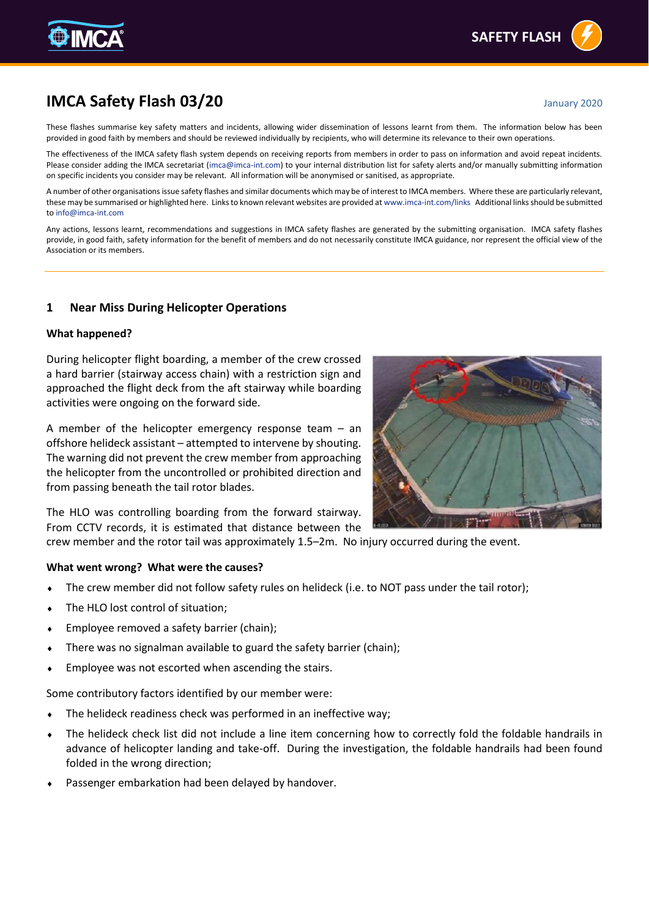# **IMCA Safety Flash 03/20 January 2020**

These flashes summarise key safety matters and incidents, allowing wider dissemination of lessons learnt from them. The information below has been provided in good faith by members and should be reviewed individually by recipients, who will determine its relevance to their own operations.

The effectiveness of the IMCA safety flash system depends on receiving reports from members in order to pass on information and avoid repeat incidents. Please consider adding the IMCA secretariat [\(imca@imca-int.com\)](mailto:imca@imca-int.com) to your internal distribution list for safety alerts and/or manually submitting information on specific incidents you consider may be relevant. All information will be anonymised or sanitised, as appropriate.

A number of other organisations issue safety flashes and similar documents which may be of interest to IMCA members. Where these are particularly relevant, these may be summarised or highlighted here. Links to known relevant websites are provided a[t www.imca-int.com/links](http://www.imca-int.com/links) Additional links should be submitted t[o info@imca-int.com](mailto:info@imca-int.com)

Any actions, lessons learnt, recommendations and suggestions in IMCA safety flashes are generated by the submitting organisation. IMCA safety flashes provide, in good faith, safety information for the benefit of members and do not necessarily constitute IMCA guidance, nor represent the official view of the Association or its members.

## **1 Near Miss During Helicopter Operations**

#### **What happened?**

During helicopter flight boarding, a member of the crew crossed a hard barrier (stairway access chain) with a restriction sign and approached the flight deck from the aft stairway while boarding activities were ongoing on the forward side.

A member of the helicopter emergency response team – an offshore helideck assistant – attempted to intervene by shouting. The warning did not prevent the crew member from approaching the helicopter from the uncontrolled or prohibited direction and from passing beneath the tail rotor blades.

The HLO was controlling boarding from the forward stairway. From CCTV records, it is estimated that distance between the

crew member and the rotor tail was approximately 1.5–2m. No injury occurred during the event.

#### **What went wrong? What were the causes?**

- The crew member did not follow safety rules on helideck (i.e. to NOT pass under the tail rotor);
- The HLO lost control of situation;
- Employee removed a safety barrier (chain);
- There was no signalman available to guard the safety barrier (chain);
- Employee was not escorted when ascending the stairs.

Some contributory factors identified by our member were:

- The helideck readiness check was performed in an ineffective way;
- The helideck check list did not include a line item concerning how to correctly fold the foldable handrails in advance of helicopter landing and take-off. During the investigation, the foldable handrails had been found folded in the wrong direction;
- Passenger embarkation had been delayed by handover.



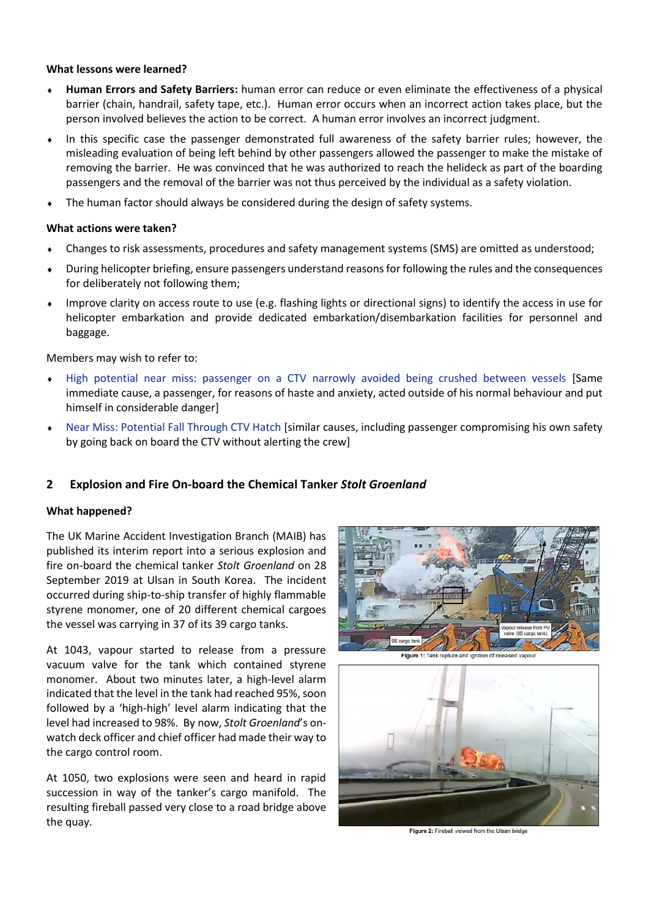#### **What lessons were learned?**

- **Human Errors and Safety Barriers:** human error can reduce or even eliminate the effectiveness of a physical barrier (chain, handrail, safety tape, etc.). Human error occurs when an incorrect action takes place, but the person involved believes the action to be correct. A human error involves an incorrect judgment.
- In this specific case the passenger demonstrated full awareness of the safety barrier rules; however, the misleading evaluation of being left behind by other passengers allowed the passenger to make the mistake of removing the barrier. He was convinced that he was authorized to reach the helideck as part of the boarding passengers and the removal of the barrier was not thus perceived by the individual as a safety violation.
- The human factor should always be considered during the design of safety systems.

#### **What actions were taken?**

- Changes to risk assessments, procedures and safety management systems (SMS) are omitted as understood;
- During helicopter briefing, ensure passengers understand reasons for following the rules and the consequences for deliberately not following them;
- Improve clarity on access route to use (e.g. flashing lights or directional signs) to identify the access in use for helicopter embarkation and provide dedicated embarkation/disembarkation facilities for personnel and baggage.

Members may wish to refer to:

- [High potential near miss: passenger on a CTV narrowly avoided being crushed between vessels](https://www.imca-int.com/alert/1503/high-potential-near-miss-passenger-on-a-ctv-narrowly-avoided-being-crushed-between-vessels/) [Same immediate cause, a passenger, for reasons of haste and anxiety, acted outside of his normal behaviour and put himself in considerable danger]
- [Near Miss: Potential Fall Through CTV Hatch](https://www.imca-int.com/alert/1504/near-miss-potential-fall-through-ctv-hatch/) [similar causes, including passenger compromising his own safety by going back on board the CTV without alerting the crew]

## **2 Explosion and Fire On-board the Chemical Tanker** *Stolt Groenland*

#### **What happened?**

The UK Marine Accident Investigation Branch (MAIB) has published its interim report into a serious explosion and fire on-board the chemical tanker *Stolt Groenland* on 28 September 2019 at Ulsan in South Korea. The incident occurred during ship-to-ship transfer of highly flammable styrene monomer, one of 20 different chemical cargoes the vessel was carrying in 37 of its 39 cargo tanks.

At 1043, vapour started to release from a pressure vacuum valve for the tank which contained styrene monomer. About two minutes later, a high-level alarm indicated that the level in the tank had reached 95%, soon followed by a 'high-high' level alarm indicating that the level had increased to 98%. By now, *Stolt Groenland*'s onwatch deck officer and chief officer had made their way to the cargo control room.

At 1050, two explosions were seen and heard in rapid succession in way of the tanker's cargo manifold. The resulting fireball passed very close to a road bridge above the quay.



**Figure 1: Tank rupture and jonition of** 



Figure 2: Fireball viewed from the Ulsan bridge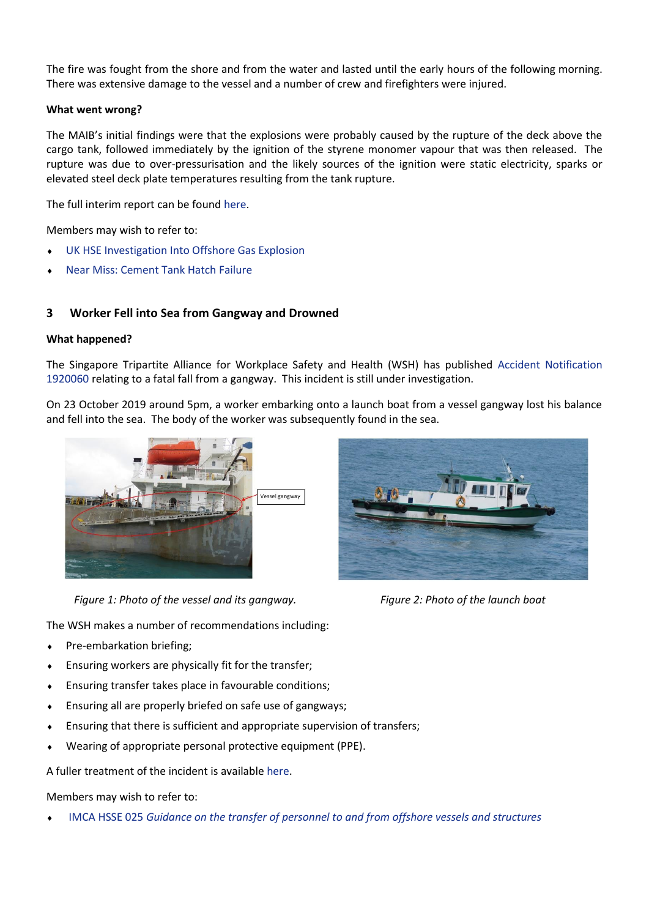The fire was fought from the shore and from the water and lasted until the early hours of the following morning. There was extensive damage to the vessel and a number of crew and firefighters were injured.

#### **What went wrong?**

The MAIB's initial findings were that the explosions were probably caused by the rupture of the deck above the cargo tank, followed immediately by the ignition of the styrene monomer vapour that was then released. The rupture was due to over-pressurisation and the likely sources of the ignition were static electricity, sparks or elevated steel deck plate temperatures resulting from the tank rupture.

The full interim report can be found [here.](https://assets.publishing.service.gov.uk/media/5df3a8cae5274a08dd355ba1/InterimReport201912-StoltGroenland.pdf)

Members may wish to refer to:

- [UK HSE Investigation Into Offshore Gas Explosion](https://www.imca-int.com/alert/1596/uk-hse-investigation-into-offshore-gas-explosion/)
- [Near Miss: Cement Tank Hatch Failure](https://www.imca-int.com/alert/660/near-miss-cement-tank-hatch-failure/)

## **3 Worker Fell into Sea from Gangway and Drowned**

#### **What happened?**

The Singapore Tripartite Alliance for Workplace Safety and Health (WSH) has published [Accident Notification](https://www.wshc.sg/wps/portal/!ut/p/a1/04_Sj9CPykssy0xPLMnMz0vMAfGjzOJ9_E1MjByDDbzdPUIMDRyNfA08QsyNDYPdjYAKIoEKDHAARwNC-sP1o_ApcQ4zhirAY4WXflR6Tn4S2LmRjnlJxhbp-lFFqWmpRalFeqVFQOGMkpKCYitVA1WD8vJyvfLijGS94nQgp6BY1aAgv6gEu9aM_OIS_QgkHfoFuREGWaY5ZT6OiooA8gDZgQ!!/dl5/d5/L2dBISEvZ0FBIS9nQSEh/?action=publicViewBulletin&bulletinID=BU201910300000011295)  [1920060](https://www.wshc.sg/wps/portal/!ut/p/a1/04_Sj9CPykssy0xPLMnMz0vMAfGjzOJ9_E1MjByDDbzdPUIMDRyNfA08QsyNDYPdjYAKIoEKDHAARwNC-sP1o_ApcQ4zhirAY4WXflR6Tn4S2LmRjnlJxhbp-lFFqWmpRalFeqVFQOGMkpKCYitVA1WD8vJyvfLijGS94nQgp6BY1aAgv6gEu9aM_OIS_QgkHfoFuREGWaY5ZT6OiooA8gDZgQ!!/dl5/d5/L2dBISEvZ0FBIS9nQSEh/?action=publicViewBulletin&bulletinID=BU201910300000011295) relating to a fatal fall from a gangway. This incident is still under investigation.

On 23 October 2019 around 5pm, a worker embarking onto a launch boat from a vessel gangway lost his balance and fell into the sea. The body of the worker was subsequently found in the sea.



*Figure 1: Photo of the vessel and its gangway. Figure 2: Photo of the launch boat*

The WSH makes a number of recommendations including:

- ◆ Pre-embarkation briefing;
- Ensuring workers are physically fit for the transfer;
- Ensuring transfer takes place in favourable conditions;
- Ensuring all are properly briefed on safe use of gangways;
- Ensuring that there is sufficient and appropriate supervision of transfers;
- Wearing of appropriate personal protective equipment (PPE).

A fuller treatment of the incident is availabl[e here.](https://www.wshc.sg/wps/portal/!ut/p/a1/04_Sj9CPykssy0xPLMnMz0vMAfGjzOJ9_E1MjByDDbzdPUIMDRyNfA08QsyNDYPdjYAKIoEKDHAARwNC-sP1o_ApcQ4zhirAY4WXflR6Tn4S2LmRjnlJxhbp-lFFqWmpRalFeqVFQOGMkpKCYitVA1WD8vJyvfLijGS94nQgp6BY1aAgv6gEu9aM_OIS_QgkHfoFuREGWaY5ZT6OiooA8gDZgQ!!/dl5/d5/L2dBISEvZ0FBIS9nQSEh/?action=publicViewBulletin&bulletinID=BU201912160000011312)

Members may wish to refer to:

IMCA HSSE 025 *[Guidance on the transfer of personnel to and from offshore vessels and structures](https://www.imca-int.com/publications/287/guidance-on-the-transfer-of-personnel-to-and-from-offshore-vessels-and-structures/)*

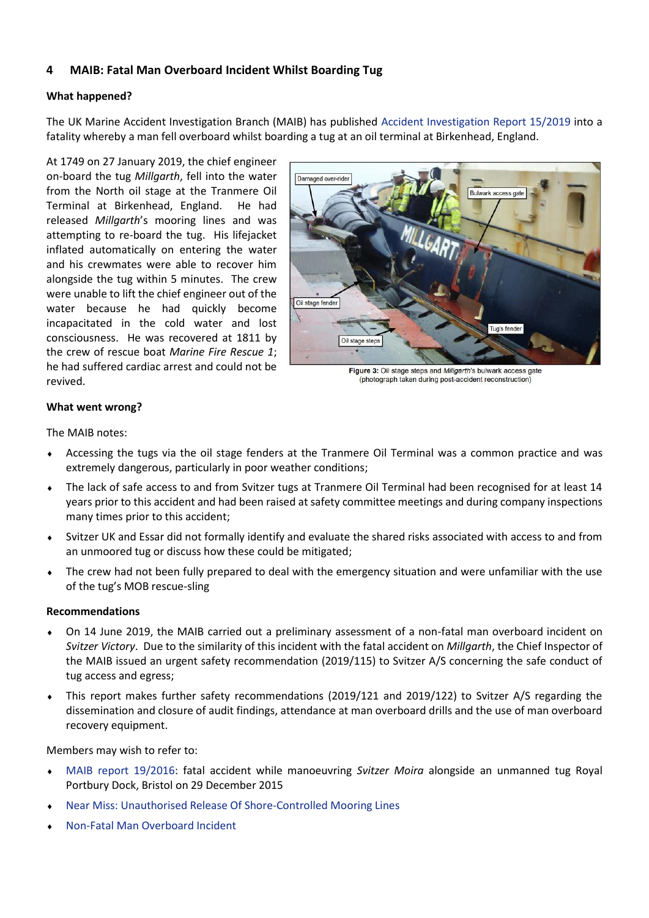## **4 MAIB: Fatal Man Overboard Incident Whilst Boarding Tug**

### **What happened?**

The UK Marine Accident Investigation Branch (MAIB) has published [Accident Investigation Report 15/2019](https://www.gov.uk/maib-reports/fall-while-boarding-tug-millgarth-with-loss-of-1-life?utm_source=c1649fad-cb3a-4fb7-8743-70a486f01881&utm_medium=email&utm_campaign=govuk-notifications&utm_content=immediate) into a fatality whereby a man fell overboard whilst boarding a tug at an oil terminal at Birkenhead, England.

At 1749 on 27 January 2019, the chief engineer on-board the tug *Millgarth*, fell into the water from the North oil stage at the Tranmere Oil Terminal at Birkenhead, England. He had released *Millgarth*'s mooring lines and was attempting to re-board the tug. His lifejacket inflated automatically on entering the water and his crewmates were able to recover him alongside the tug within 5 minutes. The crew were unable to lift the chief engineer out of the water because he had quickly become incapacitated in the cold water and lost consciousness. He was recovered at 1811 by the crew of rescue boat *Marine Fire Rescue 1*; he had suffered cardiac arrest and could not be revived.



Figure 3: Oil stage steps and Millgarth's bulwark access gate (photograph taken during post-accident reconstruction)

### **What went wrong?**

The MAIB notes:

- Accessing the tugs via the oil stage fenders at the Tranmere Oil Terminal was a common practice and was extremely dangerous, particularly in poor weather conditions;
- The lack of safe access to and from Svitzer tugs at Tranmere Oil Terminal had been recognised for at least 14 years prior to this accident and had been raised at safety committee meetings and during company inspections many times prior to this accident;
- Svitzer UK and Essar did not formally identify and evaluate the shared risks associated with access to and from an unmoored tug or discuss how these could be mitigated;
- The crew had not been fully prepared to deal with the emergency situation and were unfamiliar with the use of the tug's MOB rescue-sling

#### **Recommendations**

- On 14 June 2019, the MAIB carried out a preliminary assessment of a non-fatal man overboard incident on *Svitzer Victory*. Due to the similarity of this incident with the fatal accident on *Millgarth*, the Chief Inspector of the MAIB issued an urgent safety recommendation (2019/115) to Svitzer A/S concerning the safe conduct of tug access and egress;
- This report makes further safety recommendations (2019/121 and 2019/122) to Svitzer A/S regarding the dissemination and closure of audit findings, attendance at man overboard drills and the use of man overboard recovery equipment.

Members may wish to refer to:

- [MAIB report 19/2016:](https://www.gov.uk/maib-reports/fall-from-tug-svitzer-moira-with-loss-of-1-life) fatal accident while manoeuvring *Svitzer Moira* alongside an unmanned tug Royal Portbury Dock, Bristol on 29 December 2015
- [Near Miss: Unauthorised Release Of Shore-Controlled Mooring Lines](https://www.imca-int.com/alert/830/near-miss-unauthorised-release-of-shore-controlled-mooring-lines/)
- [Non-Fatal Man Overboard Incident](https://www.imca-int.com/alert/974/non-fatal-man-overboard-incident/)